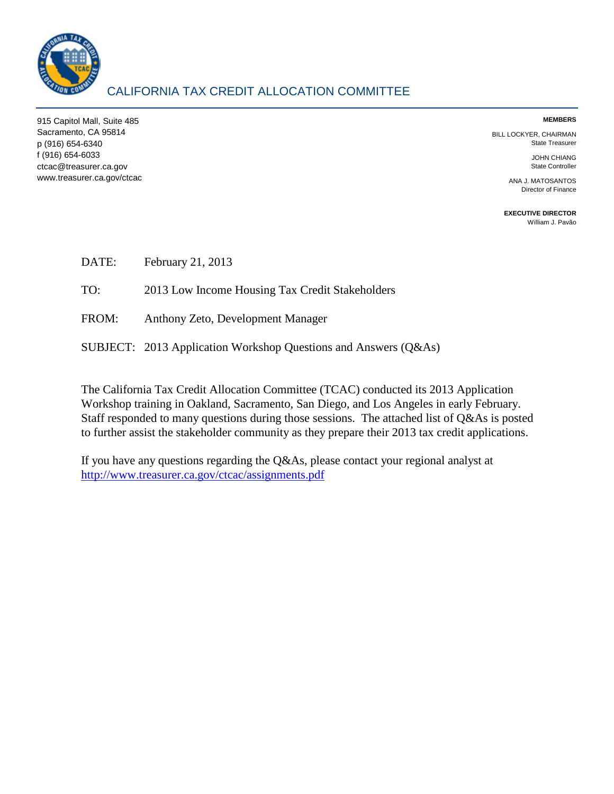

## CALIFORNIA TAX CREDIT ALLOCATION COMMITTEE

915 Capitol Mall, Suite 485 **MEMBERS**  Sacramento, CA 95814 BILL LOCKYER, CHAIRMAN<br>1999 BILL LOCKYER, CHAIRMAN State Treasurer<br>1916) 654-6340 State Treasurer p (916) 654-6340 f (916) 654-6033 JOHN CHIANG ctcac@treasurer.ca.gov State Controller www.treasurer.ca.gov/ctcac ANA J. MATOSANTOS

Director of Finance

**EXECUTIVE DIRECTOR**  [William J. Pavão](mailto:wpavao@treasurer.ca.gov) 

| DATE: | February 21, 2013 |
|-------|-------------------|
|-------|-------------------|

TO: 2013 Low Income Housing Tax Credit Stakeholders

FROM: Anthony Zeto, Development Manager

SUBJECT: 2013 Application Workshop Questions and Answers (Q&As)

The California Tax Credit Allocation Committee (TCAC) conducted its 2013 Application Workshop training in Oakland, Sacramento, San Diego, and Los Angeles in early February. Staff responded to many questions during those sessions. The attached list of Q&As is posted to further assist the stakeholder community as they prepare their 2013 tax credit applications.

 <http://www.treasurer.ca.gov/ctcac/assignments.pdf>If you have any questions regarding the Q&As, please contact your regional analyst at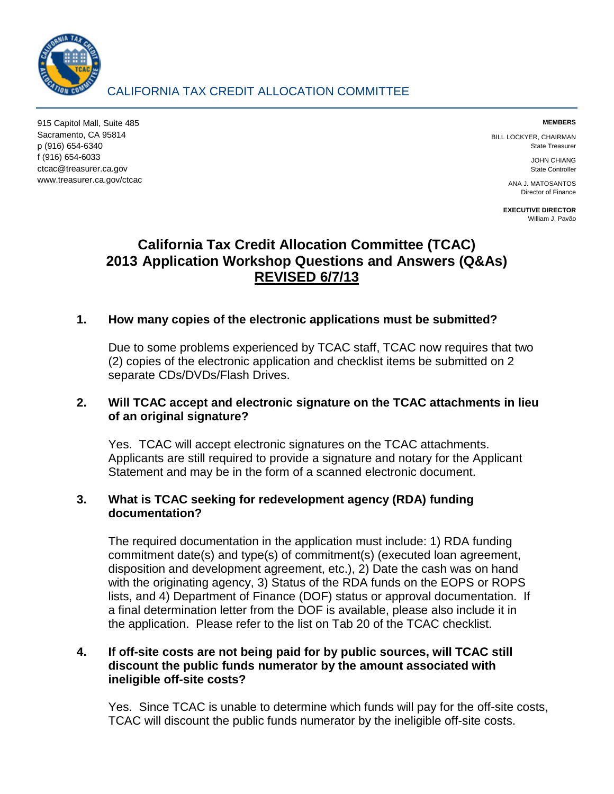

# CALIFORNIA TAX CREDIT ALLOCATION COMMITTEE

915 Capitol Mall, Suite 485 **MEMBERS**  Sacramento, CA 95814 BILL LOCKYER, CHAIRMAN p (916) 654-6340 State Treasurer f (916) 654-6033 JOHN CHIANG ctcac@treasurer.ca.gov State Controller www.treasurer.ca.gov/ctcac ANA J. MATOSANTOS

Director of Finance

**EXECUTIVE DIRECTOR**  [William J. Pavão](mailto:wpavao@treasurer.ca.gov) 

# **California Tax Credit Allocation Committee (TCAC) REVISED 6/7/13 2013 Application Workshop Questions and Answers (Q&As)**

## **1. How many copies of the electronic applications must be submitted?**

Due to some problems experienced by TCAC staff, TCAC now requires that two (2) copies of the electronic application and checklist items be submitted on 2 separate CDs/DVDs/Flash Drives.

#### **2. Will TCAC accept and electronic signature on the TCAC attachments in lieu of an original signature?**

Yes. TCAC will accept electronic signatures on the TCAC attachments. Applicants are still required to provide a signature and notary for the Applicant Statement and may be in the form of a scanned electronic document.

#### **3. What is TCAC seeking for redevelopment agency (RDA) funding documentation?**

 The required documentation in the application must include: 1) RDA funding lists, and 4) Department of Finance (DOF) status or approval documentation. If a final determination letter from the DOF is available, please also include it in commitment date(s) and type(s) of commitment(s) (executed loan agreement, disposition and development agreement, etc.), 2) Date the cash was on hand with the originating agency, 3) Status of the RDA funds on the EOPS or ROPS the application. Please refer to the list on Tab 20 of the TCAC checklist.

#### **4. If off-site costs are not being paid for by public sources, will TCAC still discount the public funds numerator by the amount associated with ineligible off-site costs?**

Yes. Since TCAC is unable to determine which funds will pay for the off-site costs, TCAC will discount the public funds numerator by the ineligible off-site costs.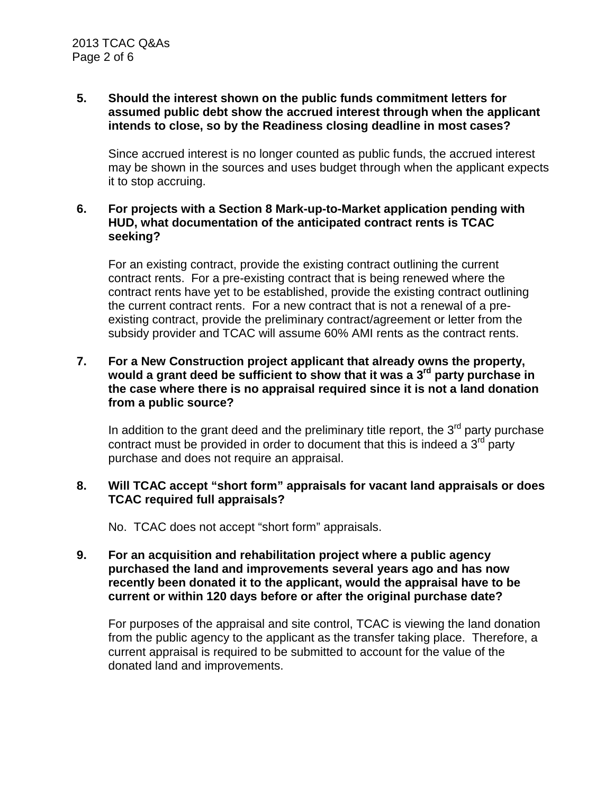## **intends to close, so by the Readiness closing deadline in most cases? 5. Should the interest shown on the public funds commitment letters for assumed public debt show the accrued interest through when the applicant**

 may be shown in the sources and uses budget through when the applicant expects Since accrued interest is no longer counted as public funds, the accrued interest it to stop accruing.

#### **6. For projects with a Section 8 Mark-up-to-Market application pending with HUD, what documentation of the anticipated contract rents is TCAC seeking?**

 the current contract rents. For a new contract that is not a renewal of a pre- subsidy provider and TCAC will assume 60% AMI rents as the contract rents. For an existing contract, provide the existing contract outlining the current contract rents. For a pre-existing contract that is being renewed where the contract rents have yet to be established, provide the existing contract outlining existing contract, provide the preliminary contract/agreement or letter from the

#### **7. For a New Construction project applicant that already owns the property, would a grant deed be sufficient to show that it was a 3rd party purchase in the case where there is no appraisal required since it is not a land donation from a public source?**

In addition to the grant deed and the preliminary title report, the  $3<sup>rd</sup>$  party purchase contract must be provided in order to document that this is indeed a  $3<sup>rd</sup>$  party purchase and does not require an appraisal.

#### **8. Will TCAC accept "short form" appraisals for vacant land appraisals or does TCAC required full appraisals?**

No. TCAC does not accept "short form" appraisals.

#### **9. For an acquisition and rehabilitation project where a public agency current or within 120 days before or after the original purchase date? purchased the land and improvements several years ago and has now recently been donated it to the applicant, would the appraisal have to be**

 For purposes of the appraisal and site control, TCAC is viewing the land donation from the public agency to the applicant as the transfer taking place. Therefore, a current appraisal is required to be submitted to account for the value of the donated land and improvements.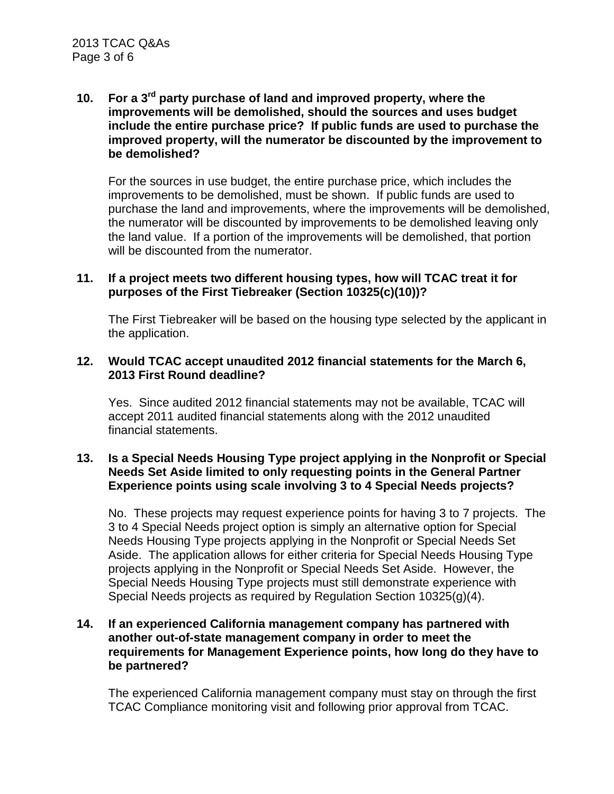#### $10.$ **10. For a 3rd party purchase of land and improved property, where the improvements will be demolished, should the sources and uses budget include the entire purchase price? If public funds are used to purchase the improved property, will the numerator be discounted by the improvement to be demolished?**

 improvements to be demolished, must be shown. If public funds are used to the land value. If a portion of the improvements will be demolished, that portion For the sources in use budget, the entire purchase price, which includes the purchase the land and improvements, where the improvements will be demolished, the numerator will be discounted by improvements to be demolished leaving only will be discounted from the numerator.

#### **purposes of the First Tiebreaker (Section 10325(c)(10))? 11. If a project meets two different housing types, how will TCAC treat it for**

The First Tiebreaker will be based on the housing type selected by the applicant in the application.

#### **12. Would TCAC accept unaudited 2012 financial statements for the March 6, 2013 First Round deadline?**

 Yes. Since audited 2012 financial statements may not be available, TCAC will accept 2011 audited financial statements along with the 2012 unaudited financial statements.

#### **13. Is a Special Needs Housing Type project applying in the Nonprofit or Special Needs Set Aside limited to only requesting points in the General Partner Experience points using scale involving 3 to 4 Special Needs projects?**

 No. These projects may request experience points for having 3 to 7 projects. The 3 to 4 Special Needs project option is simply an alternative option for Special Needs Housing Type projects applying in the Nonprofit or Special Needs Set Aside. The application allows for either criteria for Special Needs Housing Type projects applying in the Nonprofit or Special Needs Set Aside. However, the Special Needs Housing Type projects must still demonstrate experience with Special Needs projects as required by Regulation Section 10325(g)(4).

#### **14. If an experienced California management company has partnered with another out-of-state management company in order to meet the requirements for Management Experience points, how long do they have to be partnered?**

 The experienced California management company must stay on through the first TCAC Compliance monitoring visit and following prior approval from TCAC.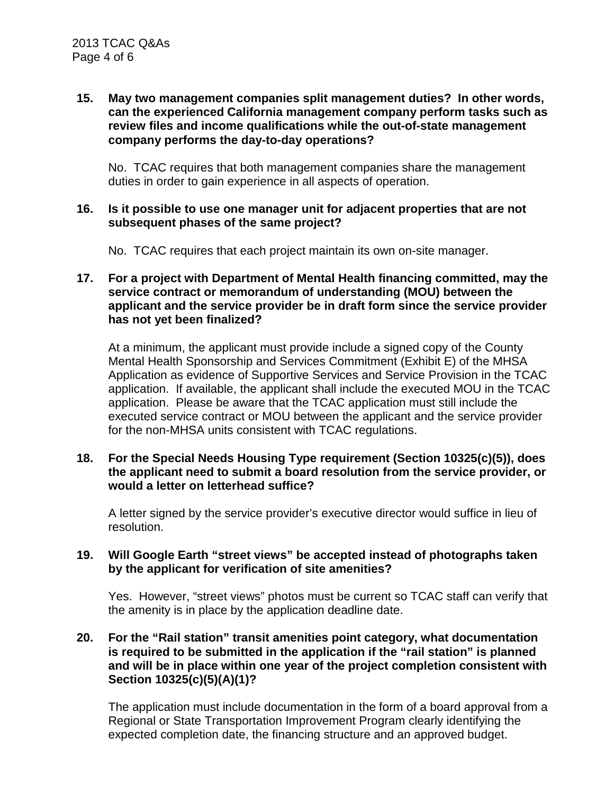#### **15. May two management companies split management duties? In other words, can the experienced California management company perform tasks such as review files and income qualifications while the out-of-state management company performs the day-to-day operations?**

 No. TCAC requires that both management companies share the management duties in order to gain experience in all aspects of operation.

#### **16. Is it possible to use one manager unit for adjacent properties that are not subsequent phases of the same project?**

No. TCAC requires that each project maintain its own on-site manager.

#### **17. For a project with Department of Mental Health financing committed, may the service contract or memorandum of understanding (MOU) between the applicant and the service provider be in draft form since the service provider has not yet been finalized?**

 At a minimum, the applicant must provide include a signed copy of the County application. If available, the applicant shall include the executed MOU in the TCAC application. Please be aware that the TCAC application must still include the Mental Health Sponsorship and Services Commitment (Exhibit E) of the MHSA Application as evidence of Supportive Services and Service Provision in the TCAC executed service contract or MOU between the applicant and the service provider for the non-MHSA units consistent with TCAC regulations.

#### **18. For the Special Needs Housing Type requirement (Section 10325(c)(5)), does the applicant need to submit a board resolution from the service provider, or would a letter on letterhead suffice?**

A letter signed by the service provider's executive director would suffice in lieu of resolution.

#### **19. Will Google Earth "street views" be accepted instead of photographs taken by the applicant for verification of site amenities?**

Yes. However, "street views" photos must be current so TCAC staff can verify that the amenity is in place by the application deadline date.

#### **and will be in place within one year of the project completion consistent with 20. For the "Rail station" transit amenities point category, what documentation is required to be submitted in the application if the "rail station" is planned Section 10325(c)(5)(A)(1)?**

 The application must include documentation in the form of a board approval from a Regional or State Transportation Improvement Program clearly identifying the expected completion date, the financing structure and an approved budget.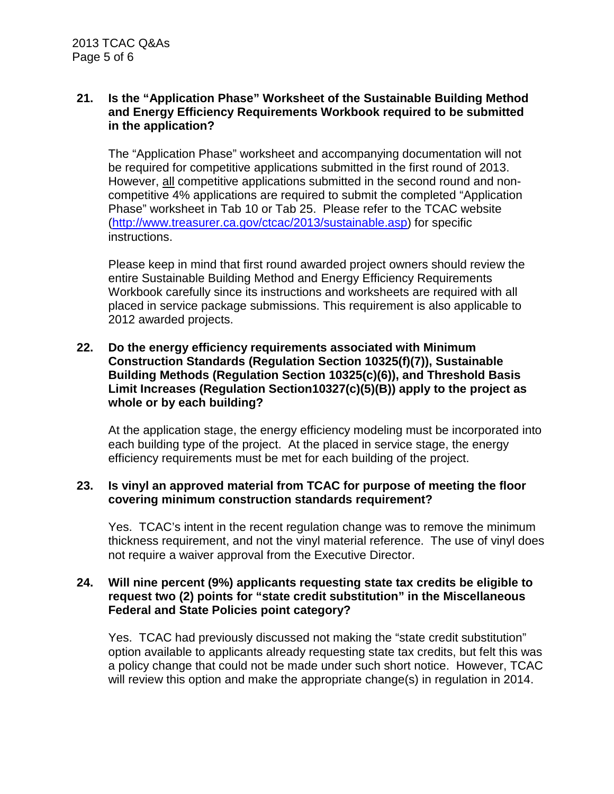#### $21.$ **21. Is the "Application Phase" Worksheet of the Sustainable Building Method and Energy Efficiency Requirements Workbook required to be submitted in the application?**

 be required for competitive applications submitted in the first round of 2013. Phase" worksheet in Tab 10 or Tab 25. Please refer to the TCAC website The "Application Phase" worksheet and accompanying documentation will not However, all competitive applications submitted in the second round and noncompetitive 4% applications are required to submit the completed "Application [\(http://www.treasurer.ca.gov/ctcac/2013/sustainable.asp\)](http://www.treasurer.ca.gov/ctcac/2013/sustainable.asp) for specific instructions.

 Workbook carefully since its instructions and worksheets are required with all Please keep in mind that first round awarded project owners should review the entire Sustainable Building Method and Energy Efficiency Requirements placed in service package submissions. This requirement is also applicable to 2012 awarded projects.

#### **22. Do the energy efficiency requirements associated with Minimum Construction Standards (Regulation Section 10325(f)(7)), Sustainable Building Methods (Regulation Section 10325(c)(6)), and Threshold Basis Limit Increases (Regulation Section10327(c)(5)(B)) apply to the project as whole or by each building?**

 each building type of the project. At the placed in service stage, the energy At the application stage, the energy efficiency modeling must be incorporated into efficiency requirements must be met for each building of the project.

#### **23. Is vinyl an approved material from TCAC for purpose of meeting the floor covering minimum construction standards requirement?**

 thickness requirement, and not the vinyl material reference. The use of vinyl does Yes. TCAC's intent in the recent regulation change was to remove the minimum not require a waiver approval from the Executive Director.

#### **request two (2) points for "state credit substitution" in the Miscellaneous 24. Will nine percent (9%) applicants requesting state tax credits be eligible to Federal and State Policies point category?**

Yes. TCAC had previously discussed not making the "state credit substitution" option available to applicants already requesting state tax credits, but felt this was a policy change that could not be made under such short notice. However, TCAC will review this option and make the appropriate change(s) in regulation in 2014.